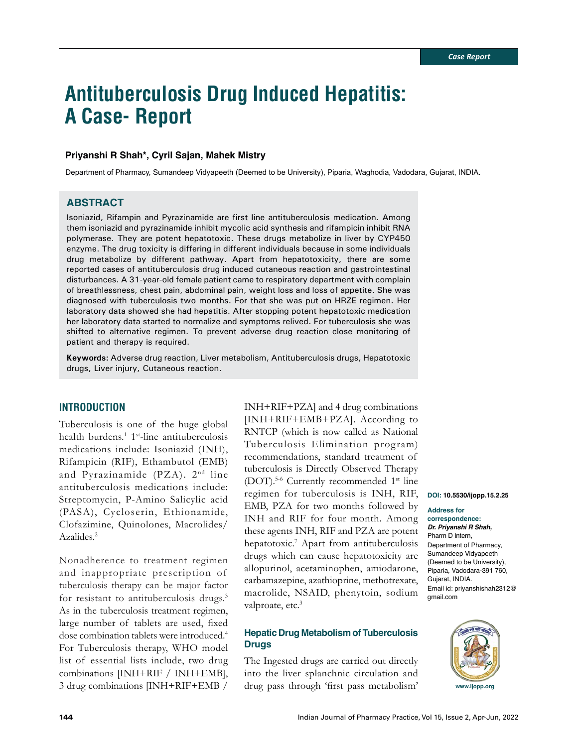# **Antituberculosis Drug Induced Hepatitis: A Case- Report**

# **Priyanshi R Shah\*, Cyril Sajan, Mahek Mistry**

Department of Pharmacy, Sumandeep Vidyapeeth (Deemed to be University), Piparia, Waghodia, Vadodara, Gujarat, INDIA.

# **ABSTRACT**

Isoniazid, Rifampin and Pyrazinamide are first line antituberculosis medication. Among them isoniazid and pyrazinamide inhibit mycolic acid synthesis and rifampicin inhibit RNA polymerase. They are potent hepatotoxic. These drugs metabolize in liver by CYP450 enzyme. The drug toxicity is differing in different individuals because in some individuals drug metabolize by different pathway. Apart from hepatotoxicity, there are some reported cases of antituberculosis drug induced cutaneous reaction and gastrointestinal disturbances. A 31-year-old female patient came to respiratory department with complain of breathlessness, chest pain, abdominal pain, weight loss and loss of appetite. She was diagnosed with tuberculosis two months. For that she was put on HRZE regimen. Her laboratory data showed she had hepatitis. After stopping potent hepatotoxic medication her laboratory data started to normalize and symptoms relived. For tuberculosis she was shifted to alternative regimen. To prevent adverse drug reaction close monitoring of patient and therapy is required.

**Keywords:** Adverse drug reaction, Liver metabolism, Antituberculosis drugs, Hepatotoxic drugs, Liver injury, Cutaneous reaction.

# **INTRODUCTION**

Tuberculosis is one of the huge global health burdens.<sup>1</sup> 1<sup>st</sup>-line antituberculosis medications include: Isoniazid (INH), Rifampicin (RIF), Ethambutol (EMB) and Pyrazinamide  $(PZA)$ .  $2<sup>nd</sup>$  line antituberculosis medications include: Streptomycin, P-Amino Salicylic acid (PASA), Cycloserin, Ethionamide, Clofazimine, Quinolones, Macrolides/ Azalides.<sup>2</sup>

Nonadherence to treatment regimen and inappropriate prescription of tuberculosis therapy can be major factor for resistant to antituberculosis drugs.3 As in the tuberculosis treatment regimen, large number of tablets are used, fixed dose combination tablets were introduced.4 For Tuberculosis therapy, WHO model list of essential lists include, two drug combinations [INH+RIF / INH+EMB], 3 drug combinations [INH+RIF+EMB /

regimen for tuberculosis is INH, RIF, **DOI: 10.5530/ijopp.15.2.25** INH+RIF+PZA] and 4 drug combinations [INH+RIF+EMB+PZA]. According to RNTCP (which is now called as National Tuberculosis Elimination program) recommendations, standard treatment of tuberculosis is Directly Observed Therapy (DOT).5-6 Currently recommended 1st line EMB, PZA for two months followed by INH and RIF for four month. Among these agents INH, RIF and PZA are potent hepatotoxic.<sup>7</sup> Apart from antituberculosis drugs which can cause hepatotoxicity are allopurinol, acetaminophen, amiodarone, carbamazepine, azathioprine, methotrexate, macrolide, NSAID, phenytoin, sodium valproate, etc.<sup>3</sup>

# **Hepatic Drug Metabolism of Tuberculosis Drugs**

The Ingested drugs are carried out directly into the liver splanchnic circulation and drug pass through 'first pass metabolism'

# **Address for correspondence:**

*Dr. Priyanshi R Shah,*  Pharm D Intern, Department of Pharmacy, Sumandeep Vidyapeeth (Deemed to be University), Piparia, Vadodara-391 760, Gujarat, INDIA. Email id: priyanshishah2312@ gmail.com

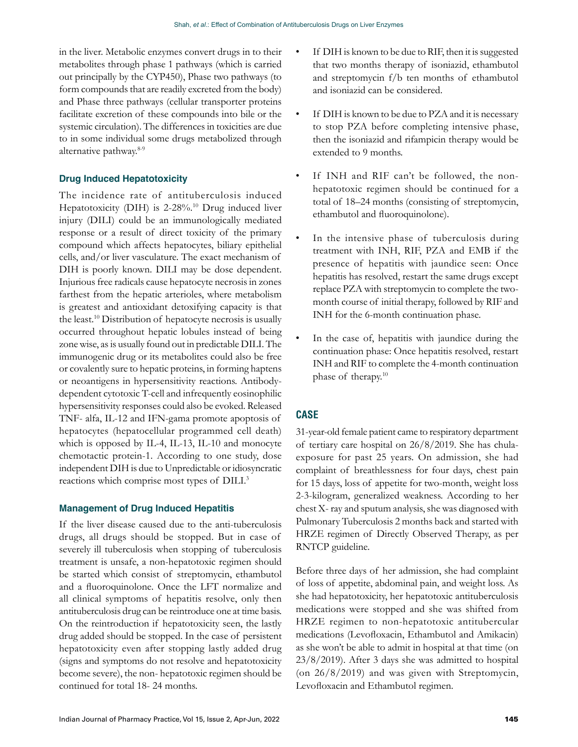in the liver. Metabolic enzymes convert drugs in to their metabolites through phase 1 pathways (which is carried out principally by the CYP450), Phase two pathways (to form compounds that are readily excreted from the body) and Phase three pathways (cellular transporter proteins facilitate excretion of these compounds into bile or the systemic circulation). The differences in toxicities are due to in some individual some drugs metabolized through alternative pathway.8-9

# **Drug Induced Hepatotoxicity**

The incidence rate of antituberculosis induced Hepatotoxicity (DIH) is 2-28%.<sup>10</sup> Drug induced liver injury (DILI) could be an immunologically mediated response or a result of direct toxicity of the primary compound which affects hepatocytes, biliary epithelial cells, and/or liver vasculature. The exact mechanism of DIH is poorly known. DILI may be dose dependent. Injurious free radicals cause hepatocyte necrosis in zones farthest from the hepatic arterioles, where metabolism is greatest and antioxidant detoxifying capacity is that the least.10 Distribution of hepatocyte necrosis is usually occurred throughout hepatic lobules instead of being zone wise, as is usually found out in predictable DILI. The immunogenic drug or its metabolites could also be free or covalently sure to hepatic proteins, in forming haptens or neoantigens in hypersensitivity reactions. Antibodydependent cytotoxic T-cell and infrequently eosinophilic hypersensitivity responses could also be evoked. Released TNF- alfa, IL-12 and IFN-gama promote apoptosis of hepatocytes (hepatocellular programmed cell death) which is opposed by IL-4, IL-13, IL-10 and monocyte chemotactic protein-1. According to one study, dose independent DIH is due to Unpredictable or idiosyncratic reactions which comprise most types of DILI.3

# **Management of Drug Induced Hepatitis**

If the liver disease caused due to the anti-tuberculosis drugs, all drugs should be stopped. But in case of severely ill tuberculosis when stopping of tuberculosis treatment is unsafe, a non-hepatotoxic regimen should be started which consist of streptomycin, ethambutol and a fluoroquinolone. Once the LFT normalize and all clinical symptoms of hepatitis resolve, only then antituberculosis drug can be reintroduce one at time basis. On the reintroduction if hepatotoxicity seen, the lastly drug added should be stopped. In the case of persistent hepatotoxicity even after stopping lastly added drug (signs and symptoms do not resolve and hepatotoxicity become severe), the non- hepatotoxic regimen should be continued for total 18- 24 months.

- If DIH is known to be due to RIF, then it is suggested that two months therapy of isoniazid, ethambutol and streptomycin f/b ten months of ethambutol and isoniazid can be considered.
- If DIH is known to be due to PZA and it is necessary to stop PZA before completing intensive phase, then the isoniazid and rifampicin therapy would be extended to 9 months.
- If INH and RIF can't be followed, the nonhepatotoxic regimen should be continued for a total of 18–24 months (consisting of streptomycin, ethambutol and fluoroquinolone).
- In the intensive phase of tuberculosis during treatment with INH, RIF, PZA and EMB if the presence of hepatitis with jaundice seen: Once hepatitis has resolved, restart the same drugs except replace PZA with streptomycin to complete the twomonth course of initial therapy, followed by RIF and INH for the 6-month continuation phase.
- In the case of, hepatitis with jaundice during the continuation phase: Once hepatitis resolved, restart INH and RIF to complete the 4-month continuation phase of therapy.10

# **CASE**

31-year-old female patient came to respiratory department of tertiary care hospital on 26/8/2019. She has chulaexposure for past 25 years. On admission, she had complaint of breathlessness for four days, chest pain for 15 days, loss of appetite for two-month, weight loss 2-3-kilogram, generalized weakness. According to her chest X- ray and sputum analysis, she was diagnosed with Pulmonary Tuberculosis 2 months back and started with HRZE regimen of Directly Observed Therapy, as per RNTCP guideline.

Before three days of her admission, she had complaint of loss of appetite, abdominal pain, and weight loss. As she had hepatotoxicity, her hepatotoxic antituberculosis medications were stopped and she was shifted from HRZE regimen to non-hepatotoxic antitubercular medications (Levofloxacin, Ethambutol and Amikacin) as she won't be able to admit in hospital at that time (on 23/8/2019). After 3 days she was admitted to hospital (on 26/8/2019) and was given with Streptomycin, Levofloxacin and Ethambutol regimen.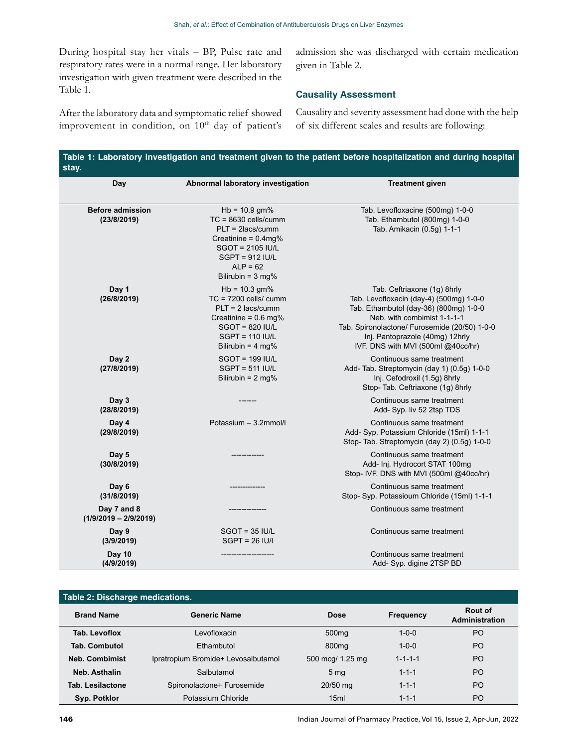During hospital stay her vitals – BP, Pulse rate and respiratory rates were in a normal range. Her laboratory investigation with given treatment were described in the Table 1.

admission she was discharged with certain medication given in Table 2.

### **Causality Assessment**

After the laboratory data and symptomatic relief showed improvement in condition, on 10<sup>th</sup> day of patient's Causality and severity assessment had done with the help of six different scales and results are following:

| Day                                    | Abnormal laboratory investigation                                                                                                                                                       | <b>Treatment given</b>                                                                                                                                                                                                                                                    |  |
|----------------------------------------|-----------------------------------------------------------------------------------------------------------------------------------------------------------------------------------------|---------------------------------------------------------------------------------------------------------------------------------------------------------------------------------------------------------------------------------------------------------------------------|--|
| <b>Before admission</b><br>(23/8/2019) | $Hb = 10.9$ gm%<br>$TC = 8630$ cells/cumm<br>$PLT = 2$ lacs/cumm<br>Creatinine = $0.4mg%$<br><b>SGOT = 2105 IU/L</b><br>$SGPT = 912$ IU/L<br>$ALP = 62$<br>Bilirubin = $3 \text{ mg\%}$ | Tab. Levofloxacine (500mg) 1-0-0<br>Tab. Ethambutol (800mg) 1-0-0<br>Tab. Amikacin (0.5g) 1-1-1                                                                                                                                                                           |  |
| Day 1<br>(26/8/2019)                   | $Hb = 10.3 gm%$<br>$TC = 7200$ cells/ cumm<br>$PLT = 2$ lacs/cumm<br>Creatinine = $0.6$ mg%<br>$SGOT = 820$ IU/L<br>$SGPT = 110$ IU/L<br>Bilirubin = $4 \text{ mg\%}$                   | Tab. Ceftriaxone (1g) 8hrly<br>Tab. Levofloxacin (day-4) (500mg) 1-0-0<br>Tab. Ethambutol (day-36) (800mg) 1-0-0<br>Neb. with combimist 1-1-1-1<br>Tab. Spironolactone/ Furosemide (20/50) 1-0-0<br>Inj. Pantoprazole (40mg) 12hrly<br>IVF. DNS with MVI (500ml @40cc/hr) |  |
| Day 2<br>(27/8/2019)                   | $SGOT = 199 IUL$<br>$SGPT = 511$ IU/L<br>Bilirubin = $2 \text{ mg}$ %                                                                                                                   | Continuous same treatment<br>Add- Tab. Streptomycin (day 1) (0.5g) 1-0-0<br>Inj. Cefodroxil (1.5g) 8hrly<br>Stop- Tab. Ceftriaxone (1q) 8hrly                                                                                                                             |  |
| Day 3<br>(28/8/2019)                   |                                                                                                                                                                                         | Continuous same treatment<br>Add- Syp. liv 52 2tsp TDS                                                                                                                                                                                                                    |  |
| Day 4<br>(29/8/2019)                   | Potassium - 3.2mmol/l                                                                                                                                                                   | Continuous same treatment<br>Add- Syp. Potassium Chloride (15ml) 1-1-1<br>Stop-Tab. Streptomycin (day 2) (0.5g) 1-0-0                                                                                                                                                     |  |
| Day 5<br>(30/8/2019)                   |                                                                                                                                                                                         | Continuous same treatment<br>Add- Inj. Hydrocort STAT 100mg<br>Stop- IVF. DNS with MVI (500ml @40cc/hr)                                                                                                                                                                   |  |
| Day 6<br>(31/8/2019)                   |                                                                                                                                                                                         | Continuous same treatment<br>Stop- Syp. Potassioum Chloride (15ml) 1-1-1                                                                                                                                                                                                  |  |
| Day 7 and 8<br>$(1/9/2019 - 2/9/2019)$ |                                                                                                                                                                                         | Continuous same treatment                                                                                                                                                                                                                                                 |  |
| Day 9<br>(3/9/2019)                    | $SGOT = 35 IUI/L$<br>$SGPT = 26$ $ U $                                                                                                                                                  | Continuous same treatment                                                                                                                                                                                                                                                 |  |
| <b>Day 10</b><br>(4/9/2019)            |                                                                                                                                                                                         | Continuous same treatment<br>Add- Syp. digine 2TSP BD                                                                                                                                                                                                                     |  |

| Table 2: Discharge medications. |                                     |                   |                  |                           |  |  |
|---------------------------------|-------------------------------------|-------------------|------------------|---------------------------|--|--|
| <b>Brand Name</b>               | <b>Generic Name</b>                 | <b>Dose</b>       | <b>Frequency</b> | Rout of<br>Administration |  |  |
| Tab. Levoflox                   | Levofloxacin                        | 500 <sub>mq</sub> | $1 - 0 - 0$      | P <sub>O</sub>            |  |  |
| <b>Tab. Combutol</b>            | Fthambutol                          | 800 <sub>mg</sub> | $1 - 0 - 0$      | P <sub>O</sub>            |  |  |
| <b>Neb. Combimist</b>           | Ipratropium Bromide+ Levosalbutamol | 500 mcg/ 1.25 mg  | $1 - 1 - 1 - 1$  | P <sub>O</sub>            |  |  |
| Neb. Asthalin                   | Salbutamol                          | 5 <sub>mq</sub>   | $1 - 1 - 1$      | PO.                       |  |  |
| <b>Tab. Lesilactone</b>         | Spironolactone+ Furosemide          | 20/50 mg          | $1 - 1 - 1$      | PO.                       |  |  |
| Syp. Potklor                    | Potassium Chloride                  | 15ml              | $1 - 1 - 1$      | P <sub>O</sub>            |  |  |